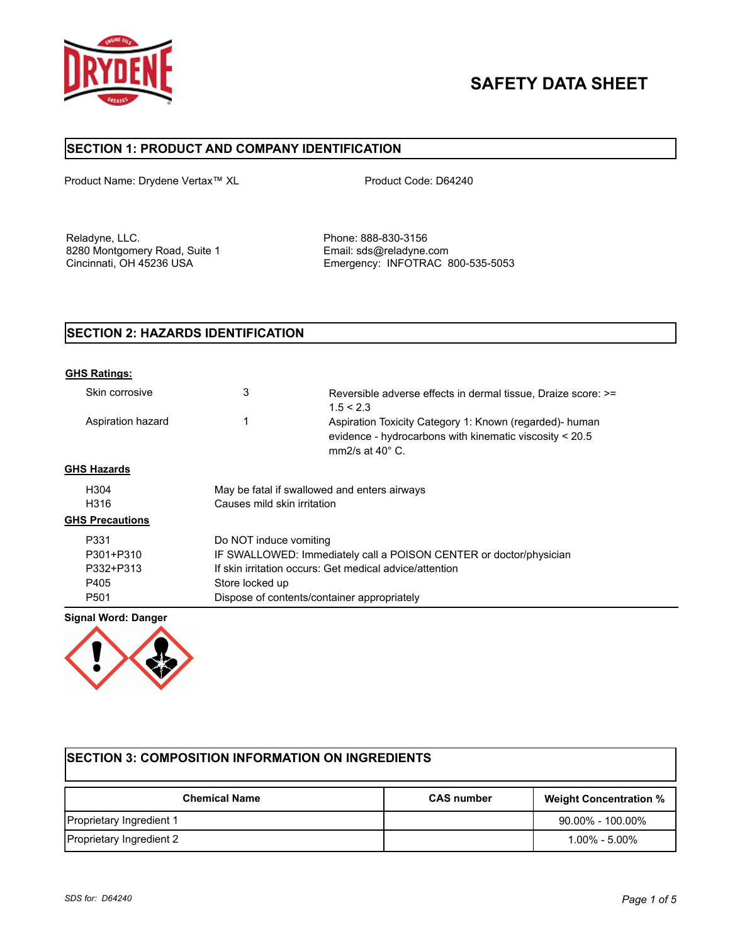

# **SAFETY DATA SHEET**

# **SECTION 1: PRODUCT AND COMPANY IDENTIFICATION**

Product Name: Drydene Vertax™ XL Product Code: D64240

Reladyne, LLC. **Phone: 888-830-3156** 8280 Montgomery Road, Suite 1 Email: sds@reladyne.com<br>Cincinnati, OH 45236 USA Companies Emergency: INFOTRAC 8

Emergency: INFOTRAC 800-535-5053

# **SECTION 2: HAZARDS IDENTIFICATION**

| <b>GHS Ratings:</b>    |                                                                    |                                                                                                                                                |
|------------------------|--------------------------------------------------------------------|------------------------------------------------------------------------------------------------------------------------------------------------|
| Skin corrosive         | 3                                                                  | Reversible adverse effects in dermal tissue, Draize score: >=<br>1.5 < 2.3                                                                     |
| Aspiration hazard      |                                                                    | Aspiration Toxicity Category 1: Known (regarded)- human<br>evidence - hydrocarbons with kinematic viscosity < 20.5<br>mm2/s at $40^{\circ}$ C. |
| <b>GHS Hazards</b>     |                                                                    |                                                                                                                                                |
| H304                   | May be fatal if swallowed and enters airways                       |                                                                                                                                                |
| H316                   | Causes mild skin irritation                                        |                                                                                                                                                |
| <b>GHS Precautions</b> |                                                                    |                                                                                                                                                |
| P331                   | Do NOT induce vomiting                                             |                                                                                                                                                |
| P301+P310              | IF SWALLOWED: Immediately call a POISON CENTER or doctor/physician |                                                                                                                                                |
| P332+P313              | If skin irritation occurs: Get medical advice/attention            |                                                                                                                                                |
| P405                   | Store locked up                                                    |                                                                                                                                                |
| P <sub>501</sub>       | Dispose of contents/container appropriately                        |                                                                                                                                                |

**Signal Word: Danger**



| <b>SECTION 3: COMPOSITION INFORMATION ON INGREDIENTS</b> |                   |                               |  |
|----------------------------------------------------------|-------------------|-------------------------------|--|
| <b>Chemical Name</b>                                     | <b>CAS number</b> | <b>Weight Concentration %</b> |  |
| Proprietary Ingredient 1                                 |                   | $90.00\%$ - 100.00%           |  |
| Proprietary Ingredient 2                                 |                   | $1.00\% - 5.00\%$             |  |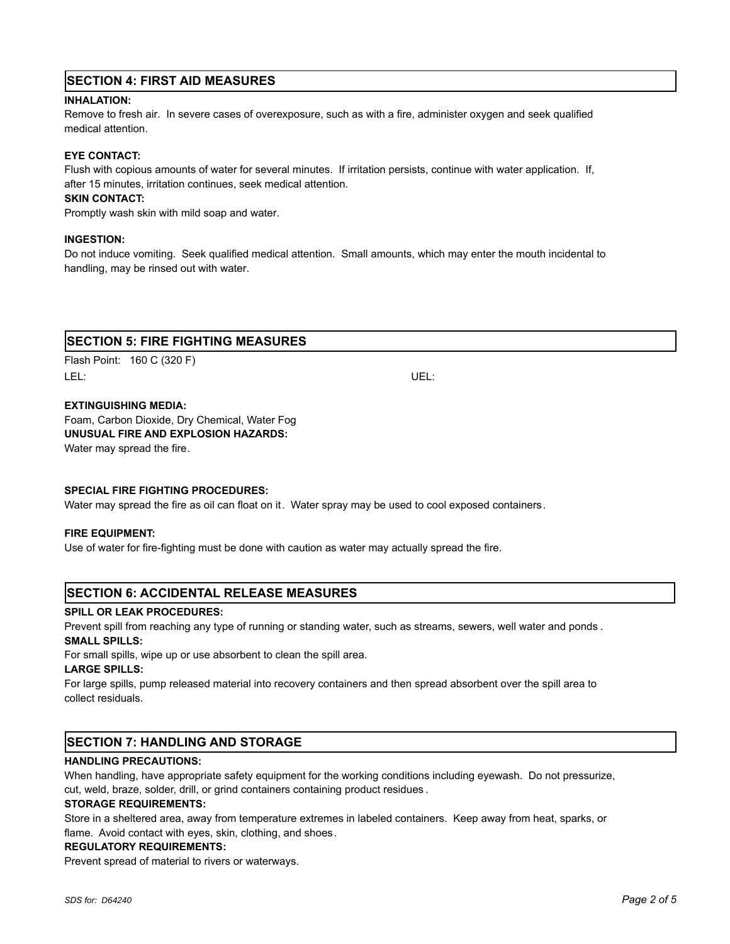# **SECTION 4: FIRST AID MEASURES**

#### **INHALATION:**

Remove to fresh air. In severe cases of overexposure, such as with a fire, administer oxygen and seek qualified medical attention.

#### **EYE CONTACT:**

Flush with copious amounts of water for several minutes. If irritation persists, continue with water application. If, after 15 minutes, irritation continues, seek medical attention.

#### **SKIN CONTACT:**

Promptly wash skin with mild soap and water.

#### **INGESTION:**

Do not induce vomiting. Seek qualified medical attention. Small amounts, which may enter the mouth incidental to handling, may be rinsed out with water.

# **SECTION 5: FIRE FIGHTING MEASURES**

Flash Point: 160 C (320 F) LEL: UEL:

#### **EXTINGUISHING MEDIA:**

Foam, Carbon Dioxide, Dry Chemical, Water Fog **UNUSUAL FIRE AND EXPLOSION HAZARDS:** Water may spread the fire.

#### **SPECIAL FIRE FIGHTING PROCEDURES:**

Water may spread the fire as oil can float on it. Water spray may be used to cool exposed containers.

#### **FIRE EQUIPMENT:**

Use of water for fire-fighting must be done with caution as water may actually spread the fire.

## **SECTION 6: ACCIDENTAL RELEASE MEASURES**

#### **SPILL OR LEAK PROCEDURES:**

Prevent spill from reaching any type of running or standing water, such as streams, sewers, well water and ponds . **SMALL SPILLS:**

For small spills, wipe up or use absorbent to clean the spill area.

#### **LARGE SPILLS:**

For large spills, pump released material into recovery containers and then spread absorbent over the spill area to collect residuals.

# **SECTION 7: HANDLING AND STORAGE**

#### **HANDLING PRECAUTIONS:**

When handling, have appropriate safety equipment for the working conditions including eyewash. Do not pressurize, cut, weld, braze, solder, drill, or grind containers containing product residues .

#### **STORAGE REQUIREMENTS:**

Store in a sheltered area, away from temperature extremes in labeled containers. Keep away from heat, sparks, or flame. Avoid contact with eyes, skin, clothing, and shoes.

#### **REGULATORY REQUIREMENTS:**

Prevent spread of material to rivers or waterways.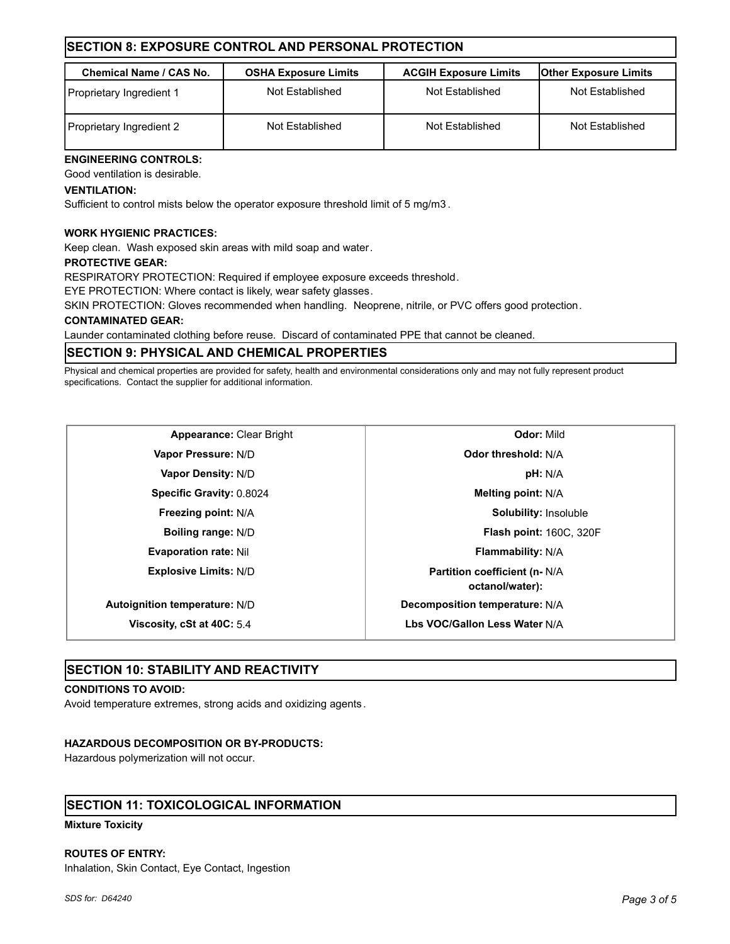# **SECTION 8: EXPOSURE CONTROL AND PERSONAL PROTECTION**

| <b>Chemical Name / CAS No.</b> | <b>OSHA Exposure Limits</b> | <b>ACGIH Exposure Limits</b> | <b>Other Exposure Limits</b> |
|--------------------------------|-----------------------------|------------------------------|------------------------------|
| Proprietary Ingredient 1       | Not Established             | Not Established              | Not Established              |
| Proprietary Ingredient 2       | Not Established             | Not Established              | Not Established              |

# **ENGINEERING CONTROLS:**

Good ventilation is desirable.

## **VENTILATION:**

Sufficient to control mists below the operator exposure threshold limit of 5 mg/m3 .

## **WORK HYGIENIC PRACTICES:**

Keep clean. Wash exposed skin areas with mild soap and water.

#### **PROTECTIVE GEAR:**

RESPIRATORY PROTECTION: Required if employee exposure exceeds threshold.

EYE PROTECTION: Where contact is likely, wear safety glasses.

SKIN PROTECTION: Gloves recommended when handling. Neoprene, nitrile, or PVC offers good protection.

## **CONTAMINATED GEAR:**

Launder contaminated clothing before reuse. Discard of contaminated PPE that cannot be cleaned.

# **SECTION 9: PHYSICAL AND CHEMICAL PROPERTIES**

Physical and chemical properties are provided for safety, health and environmental considerations only and may not fully represent product specifications. Contact the supplier for additional information.

**Evaporation rate:** Nil **Flammability:** N/A **Explosive Limits:** N/D **Partition coefficient (n- N/A Autoignition temperature:** N/D **Decomposition temperature:** N/A

**Viscosity, cSt at 40C:** 5.4 **Lbs VOC/Gallon Less Water** N/A

**Appearance:** Clear Bright **Clear Bright Clear Bright Clear Bright Clear Bright Clear Bright Clear Bright Clear Bright Clear Bright Clear Bright Clear Bright Clear Bright Vapor Pressure:** N/D **Odor threshold:** N/A **Vapor Density:** N/D **pH:** N/A **Specific Gravity:** 0.8024 **Melting point:** N/A **Freezing point:** N/A **Solubility:** Insoluble **Boiling range:** N/D **Flash point:** 160C, 320F **octanol/water):**

## **SECTION 10: STABILITY AND REACTIVITY**

#### **CONDITIONS TO AVOID:**

Avoid temperature extremes, strong acids and oxidizing agents.

## **HAZARDOUS DECOMPOSITION OR BY-PRODUCTS:**

Hazardous polymerization will not occur.

## **SECTION 11: TOXICOLOGICAL INFORMATION**

**Mixture Toxicity**

#### **ROUTES OF ENTRY:**

Inhalation, Skin Contact, Eye Contact, Ingestion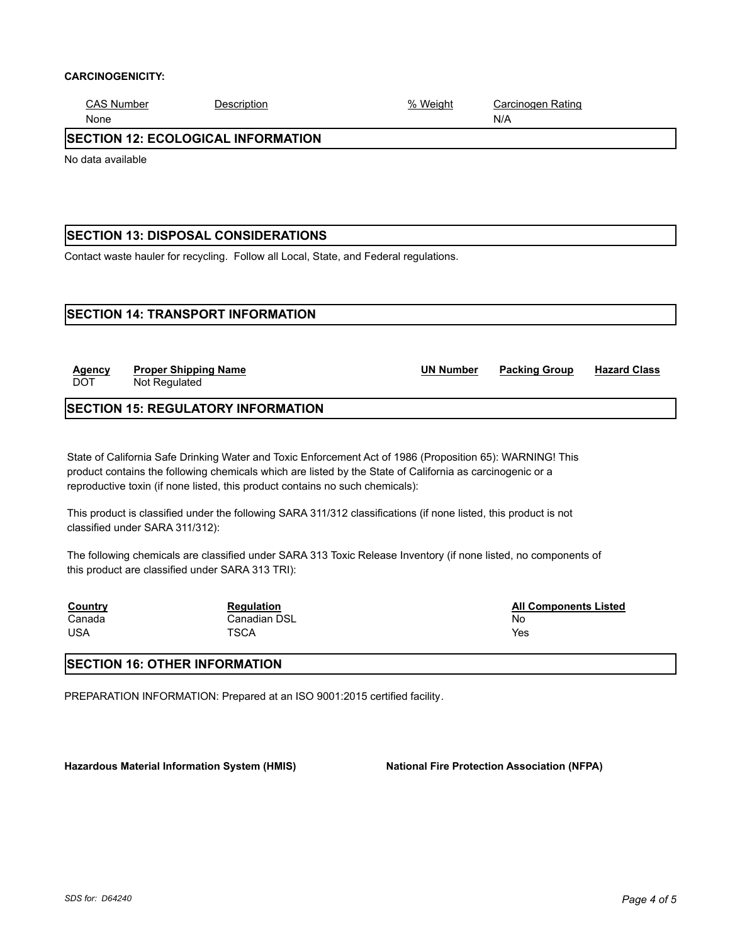#### **CARCINOGENICITY:**

| <b>CAS Number</b>                         | Description | % Weight | Carcinogen Rating |  |
|-------------------------------------------|-------------|----------|-------------------|--|
| None                                      |             |          | N/A               |  |
| <b>SECTION 12: ECOLOGICAL INFORMATION</b> |             |          |                   |  |
| No data available                         |             |          |                   |  |
|                                           |             |          |                   |  |
|                                           |             |          |                   |  |

# **SECTION 13: DISPOSAL CONSIDERATIONS**

Contact waste hauler for recycling. Follow all Local, State, and Federal regulations.

# **SECTION 14: TRANSPORT INFORMATION**

| <b>Agency</b><br><b>DOT</b> | <b>Proper Shipping Name</b><br>Not Regulated | <b>UN Number</b> | <b>Packing Group</b> | <b>Hazard Class</b> |
|-----------------------------|----------------------------------------------|------------------|----------------------|---------------------|
|                             |                                              |                  |                      |                     |

# **SECTION 15: REGULATORY INFORMATION**

State of California Safe Drinking Water and Toxic Enforcement Act of 1986 (Proposition 65): WARNING! This product contains the following chemicals which are listed by the State of California as carcinogenic or a reproductive toxin (if none listed, this product contains no such chemicals):

This product is classified under the following SARA 311/312 classifications (if none listed, this product is not classified under SARA 311/312):

The following chemicals are classified under SARA 313 Toxic Release Inventory (if none listed, no components of this product are classified under SARA 313 TRI):

| <b>Country</b> | <b>Regulation</b> | <b>All Components Listed</b> |
|----------------|-------------------|------------------------------|
| Canada         | Canadian DSL      | No                           |
| <b>USA</b>     | TSCA              | Yes                          |

# **SECTION 16: OTHER INFORMATION**

PREPARATION INFORMATION: Prepared at an ISO 9001:2015 certified facility.

Hazardous Material Information System (HMIS) National Fire Protection Association (NFPA)